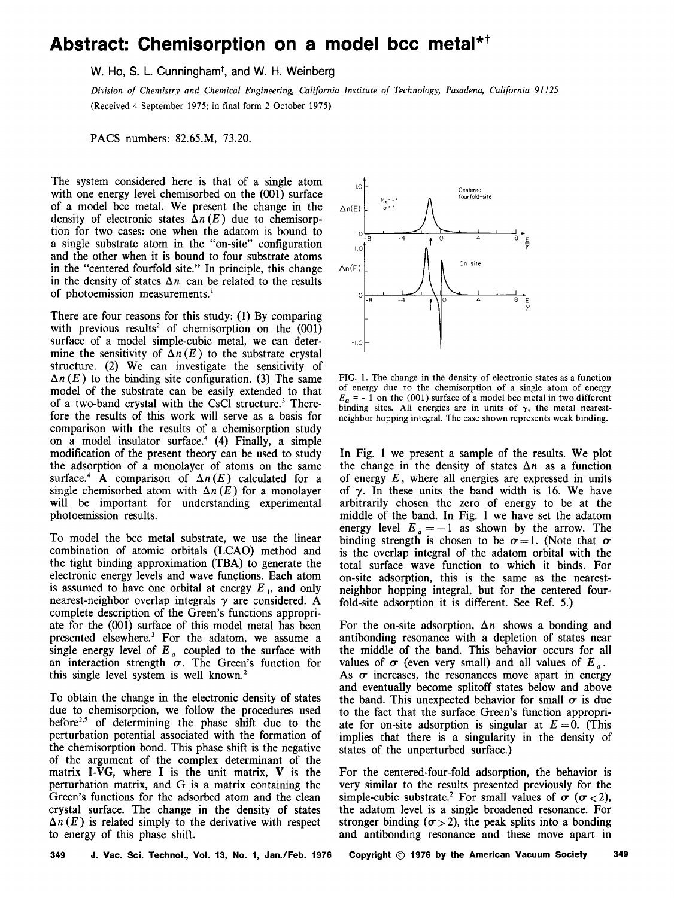## Abstract: Chemisorption on a model bcc metal<sup>\*†</sup>

W. Ho, S. L. Cunningham<sup>t</sup>, and W. H. Weinberg

*Division of Chemistry and Chemical Engineering, California Institute of Technology, Pasadena, California 91125*  (Received 4 September 1975; in final form 2 October 1975)

PACS numbers: 82.65.M, 73.20.

The system considered here is that of a single atom with one energy level chemisorbed on the (001) surface of a model bee metal. We present the change in the density of electronic states  $\Delta n(E)$  due to chemisorption for two cases: one when the adatom is bound to a single substrate atom in the "on-site" configuration and the other when it is bound to four substrate atoms in the "centered fourfold site." In principle, this change in the density of states  $\Delta n$  can be related to the results of photoemission measurements.<sup>1</sup>

There are four reasons for this study: (I) By comparing with previous results<sup>2</sup> of chemisorption on the  $(001)$ surface of a model simple-cubic metal, we can determine the sensitivity of  $\Delta n(E)$  to the substrate crystal structure. (2) We can investigate the sensitivity of  $\Delta n(E)$  to the binding site configuration. (3) The same model of the substrate can be easily extended to that of a two-band crystal with the CsCl structure.<sup>3</sup> Therefore the results of this work will serve as a basis for comparison with the results of a chemisorption study on a model insulator surface.<sup>4</sup> (4) Finally, a simple modification of the present theory can be used to study the adsorption of a monolayer of atoms on the same surface.<sup>4</sup> A comparison of  $\Delta n(E)$  calculated for a single chemisorbed atom with  $\Delta n(E)$  for a monolayer will be important for understanding experimental photoemission results.

To model the bee metal substrate, we use the linear combination of atomic orbitals (LCAO) method and the tight binding approximation (TBA) to generate the electronic energy levels and wave functions. Each atom is assumed to have one orbital at energy  $E<sub>1</sub>$ , and only nearest-neighbor overlap integrals *y* are considered. A complete description of the Green's functions appropriate for the (001) surface of this model metal has been presented elsewhere.<sup>3</sup> For the adatom, we assume a single energy level of *E a* coupled to the surface with an interaction strength  $\sigma$ . The Green's function for this single level system is well known.<sup>2</sup>

To obtain the change in the electronic density of states due to chemisorption, we follow the procedures used before<sup>2,5</sup> of determining the phase shift due to the perturbation potential associated with the formation of the chemisorption bond. This phase shift is the negative of the argument of the complex determinant of the matrix I- $\overline{VG}$ , where I is the unit matrix, V is the perturbation matrix, and G is a matrix containing the Green's functions for the adsorbed atom and the clean crystal surface. The change in the density of states  $\Delta n(E)$  is related simply to the derivative with respect to energy of this phase shift.



FIG. 1. The change in the density of electronic states as a function of energy due to the chemisorption of a single atom of energy  $E_n = -1$  on the (001) surface of a model bcc metal in two different binding sites. All energies are in units of  $\gamma$ , the metal nearestneighbor hopping integral. The case shown represents weak binding.

In Fig. 1 we present a sample of the results. We plot the change in the density of states  $\Delta n$  as a function of energy *E* , where all energies are expressed in units of  $\gamma$ . In these units the band width is 16. We have arbitrarily chosen the zero of energy to be at the middle of the band. In Fig. 1 we have set the adatom energy level  $E_a = -1$  as shown by the arrow. The binding strength is chosen to be  $\sigma=1$ . (Note that  $\sigma$ ) is the overlap integral of the adatom orbital with the total surface wave function to which it binds. For on-site adsorption, this is the same as the nearestneighbor hopping integral, but for the centered fourfold-site adsorption it is different. See Ref. 5.)

For the on-site adsorption,  $\Delta n$  shows a bonding and antibonding resonance with a depletion of states near the middle of the band. This behavior occurs for all values of  $\sigma$  (even very small) and all values of  $E_a$ . As  $\sigma$  increases, the resonances move apart in energy and eventually become splitoff states below and above the band. This unexpected behavior for small  $\sigma$  is due to the fact that the surface Green's function appropriate for on-site adsorption is singular at  $E = 0$ . (This implies that there is a singularity in the density of states of the unperturbed surface.)

For the centered-four-fold adsorption, the behavior is very similar to the results presented previously for the simple-cubic substrate.<sup>2</sup> For small values of  $\sigma$  ( $\sigma$  < 2), the adatom level is a single broadened resonance. For stronger binding ( $\sigma$  > 2), the peak splits into a bonding and antibonding resonance and these move apart in